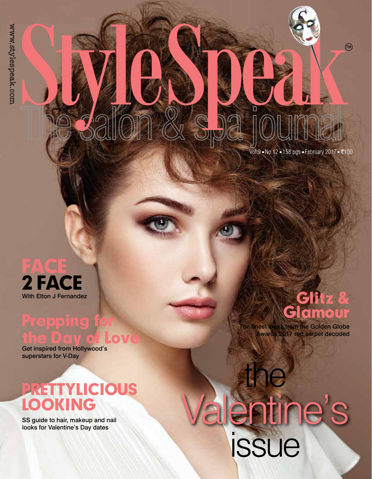$Vol.9$  = No.12 = 158 pgs = February 2017 = ₹100

## Face 2 face

## **Prepping for** the Day of Love

Get inspired from Hollywood's superstars for V-Day

## Prettylicious Looking

SS guide to hair, makeup and nail looks for Valentine's Day dates

StyleSpeak

### With Elton J Fernandez **Glitz &** Glamour

The finest looks from the Golden Globe Awards 2017 red carpet decoded

# Valentine's issue the